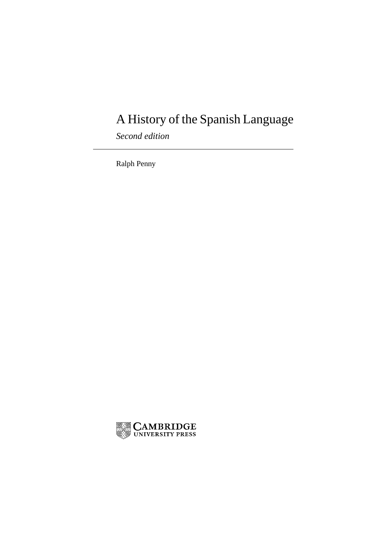# A History of the Spanish Language

*Second edition*

Ralph Penny

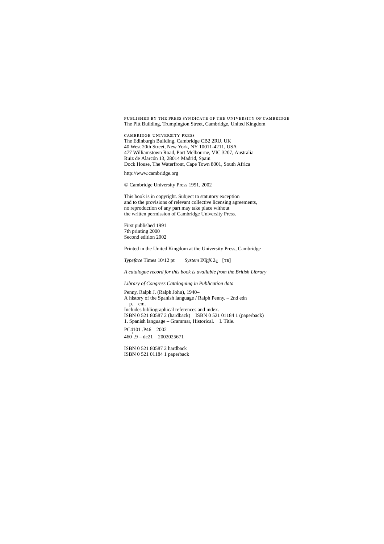published by the press syndicate of the university of cambridge The Pitt Building, Trumpington Street, Cambridge, United Kingdom

cambridge university press The Edinburgh Building, Cambridge CB2 2RU, UK 40 West 20th Street, New York, NY 10011-4211, USA 477 Williamstown Road, Port Melbourne, VIC 3207, Australia Ruiz de Alarcón 13, 28014 Madrid, Spain Dock House, The Waterfront, Cape Town 8001, South Africa

http://www.cambridge.org

<sup>C</sup> Cambridge University Press 1991, 2002

This book is in copyright. Subject to statutory exception and to the provisions of relevant collective licensing agreements, no reproduction of any part may take place without the written permission of Cambridge University Press.

First published 1991 7th printing 2000 Second edition 2002

Printed in the United Kingdom at the University Press, Cambridge

*Typeface* Times 10/12 pt *System* LAT<sub>E</sub>X 2<sub>ε</sub> [TB]

*Acatalogue record for this book is available from the British Library*

*Library of Congress Cataloguing in Publication data*

Penny, Ralph J. (Ralph John), 1940– A history of the Spanish language / Ralph Penny. – 2nd edn p. cm. Includes bibliographical references and index. ISBN 0 521 80587 2 (hardback) ISBN 0 521 01184 1 (paperback) 1. Spanish language – Grammar, Historical. I. Title.

PC4101 .P46 2002  $460.9 - dc21$  2002025671

ISBN 0 521 80587 2 hardback ISBN 0 521 01184 1 paperback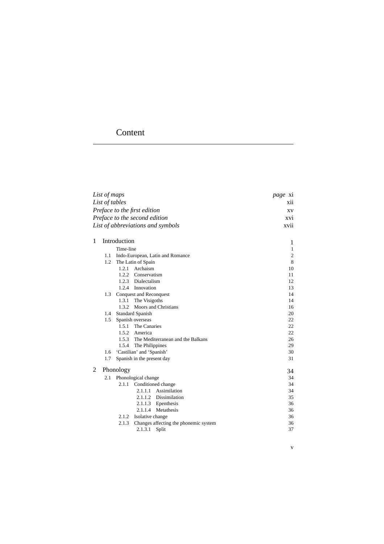# Content

| List of maps   |                                                | page xi        |  |
|----------------|------------------------------------------------|----------------|--|
| List of tables |                                                | Xii            |  |
|                | Preface to the first edition                   | XV.            |  |
|                | Preface to the second edition                  | XVI.           |  |
|                | List of abbreviations and symbols              |                |  |
| 1              | Introduction                                   | 1              |  |
|                | Time-line                                      | $\mathbf{1}$   |  |
| 1.1            | Indo-European, Latin and Romance               | $\overline{c}$ |  |
| 1.2            | The Latin of Spain                             | 8              |  |
|                | 1.2.1 Archaism                                 | 10             |  |
|                | 1.2.2 Conservatism                             | 11             |  |
|                | 1.2.3 Dialectalism                             | 12             |  |
|                | 1.2.4 Innovation                               | 13             |  |
| 1.3            | <b>Conquest and Reconquest</b>                 | 14             |  |
|                | 1.3.1 The Visigoths                            | 14             |  |
|                | 1.3.2 Moors and Christians                     | 16             |  |
| 1.4            | Standard Spanish                               | 20             |  |
| 1.5            | Spanish overseas                               | 22             |  |
|                | 1.5.1 The Canaries                             | 22             |  |
|                | 1.5.2 America                                  | 22             |  |
|                | 1.5.3 The Mediterranean and the Balkans        | 26             |  |
|                | 1.5.4 The Philippines                          | 29             |  |
| 1.6            | 'Castilian' and 'Spanish'                      | 30             |  |
| 1.7            | Spanish in the present day                     | 31             |  |
| $\overline{2}$ | Phonology                                      | 34             |  |
| 2.1            | Phonological change                            | 34             |  |
|                | Conditioned change<br>2.1.1                    | 34             |  |
|                | 2.1.1.1 Assimilation                           | 34             |  |
|                | 2.1.1.2 Dissimilation                          | 35             |  |
|                | 2.1.1.3 Epenthesis                             | 36             |  |
|                | 2.1.1.4 Metathesis                             | 36             |  |
|                | 2.1.2 Isolative change                         | 36             |  |
|                | 2.1.3<br>Changes affecting the phonemic system | 36             |  |
|                | 2.1.3.1<br>Split                               | 37             |  |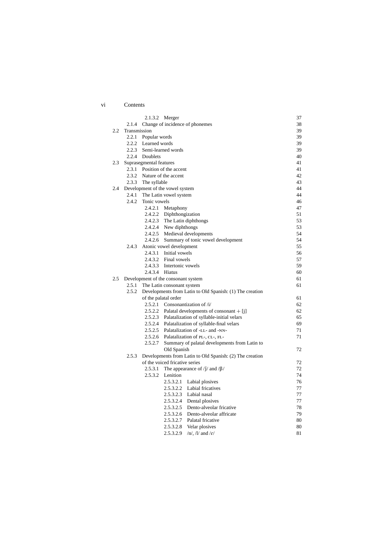|     |              | 2.1.3.2 Merger                                           | 37 |
|-----|--------------|----------------------------------------------------------|----|
|     | 2.1.4        | Change of incidence of phonemes                          | 38 |
| 2.2 | Transmission |                                                          | 39 |
|     | 2.2.1        | Popular words                                            | 39 |
|     |              | 2.2.2 Learned words                                      | 39 |
|     | 2.2.3        | Semi-learned words                                       | 39 |
|     |              | 2.2.4 Doublets                                           | 40 |
| 2.3 |              | Suprasegmental features                                  | 41 |
|     | 2.3.1        | Position of the accent                                   | 41 |
|     | 2.3.2        | Nature of the accent                                     | 42 |
|     | 2.3.3        | The syllable                                             | 43 |
| 2.4 |              | Development of the vowel system                          | 44 |
|     | 2.4.1        | The Latin vowel system                                   | 44 |
|     | 2.4.2        | Tonic vowels                                             | 46 |
|     |              | 2.4.2.1<br>Metaphony                                     | 47 |
|     |              | 2.4.2.2 Diphthongization                                 | 51 |
|     |              | 2.4.2.3 The Latin diphthongs                             | 53 |
|     |              | 2.4.2.4 New diphthongs                                   | 53 |
|     |              | 2.4.2.5 Medieval developments                            | 54 |
|     |              | 2.4.2.6 Summary of tonic vowel development               | 54 |
|     | 2.4.3        | Atonic vowel development                                 | 55 |
|     |              | 2.4.3.1 Initial vowels                                   | 56 |
|     |              | 2.4.3.2 Final vowels                                     | 57 |
|     |              | 2.4.3.3 Intertonic vowels                                | 59 |
|     |              | 2.4.3.4 Hiatus                                           | 60 |
|     |              |                                                          |    |
| 2.5 |              | Development of the consonant system                      | 61 |
|     | 2.5.1        | The Latin consonant system                               | 61 |
|     | 2.5.2        | Developments from Latin to Old Spanish: (1) The creation |    |
|     |              | of the palatal order                                     | 61 |
|     |              | 2.5.2.1 Consonantization of $\lambda$                    | 62 |
|     |              | 2.5.2.2 Palatal developments of consonant $+$ [j]        | 62 |
|     |              | 2.5.2.3 Palatalization of syllable-initial velars        | 65 |
|     |              | 2.5.2.4 Palatalization of syllable-final velars          | 69 |
|     |              | 2.5.2.5 Palatalization of -LL- and -NN-                  | 71 |
|     |              | 2.5.2.6 Palatalization of PL-, CL-, FL-                  | 71 |
|     |              | 2.5.2.7<br>Summary of palatal developments from Latin to |    |
|     |              | Old Spanish                                              | 72 |
|     | 2.5.3        | Developments from Latin to Old Spanish: (2) The creation |    |
|     |              | of the voiced fricative series                           | 72 |
|     |              | 2.5.3.1<br>The appearance of $/\check{j}/$ and $/\beta/$ | 72 |
|     |              | 2.5.3.2<br>Lenition                                      | 74 |
|     |              | 2.5.3.2.1<br>Labial plosives                             | 76 |
|     |              | 2.5.3.2.2 Labial fricatives                              | 77 |
|     |              | 2.5.3.2.3<br>Labial nasal                                | 77 |
|     |              | 2.5.3.2.4 Dental plosives                                | 77 |
|     |              | 2.5.3.2.5 Dento-alveolar fricative                       | 78 |
|     |              | 2.5.3.2.6 Dento-alveolar affricate                       | 79 |
|     |              | 2.5.3.2.7 Palatal fricative                              | 80 |
|     |              | 2.5.3.2.8<br>Velar plosives                              | 80 |
|     |              | 2.5.3.2.9<br>$/n/$ , $/l/$ and $/r/$                     | 81 |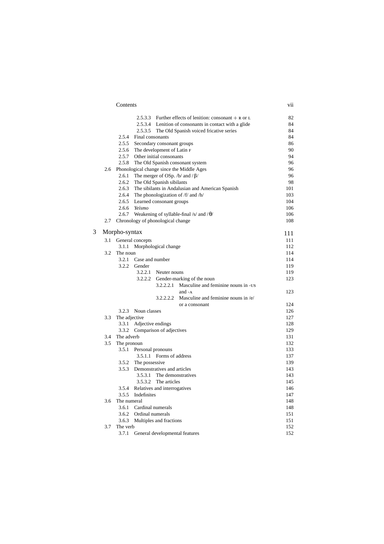# Contents vii

|   |     |               | 2.5.3.3 Further effects of lenition: consonant $+$ R or L<br>2.5.3.4 Lenition of consonants in contact with a glide | 82<br>84 |
|---|-----|---------------|---------------------------------------------------------------------------------------------------------------------|----------|
|   |     |               | 2.5.3.5 The Old Spanish voiced fricative series                                                                     | 84       |
|   |     | 2.5.4         | Final consonants                                                                                                    | 84       |
|   |     |               | 2.5.5 Secondary consonant groups                                                                                    | 86       |
|   |     |               | 2.5.6 The development of Latin F                                                                                    | 90       |
|   |     |               | 2.5.7 Other initial consonants                                                                                      | 94       |
|   |     |               | 2.5.8 The Old Spanish consonant system                                                                              | 96       |
|   | 2.6 |               | Phonological change since the Middle Ages                                                                           | 96       |
|   |     | 2.6.1         | The merger of OSp. /b/ and / $\beta$ /                                                                              | 96       |
|   |     |               | 2.6.2 The Old Spanish sibilants                                                                                     | 98       |
|   |     |               | 2.6.3 The sibilants in Andalusian and American Spanish                                                              | 101      |
|   |     |               | 2.6.4 The phonologization of $/f$ and $/h/$                                                                         | 103      |
|   |     | 2.6.5         | Learned consonant groups                                                                                            | 104      |
|   |     |               | 2.6.6 Yeísmo                                                                                                        | 106      |
|   |     |               | 2.6.7 Weakening of syllable-final /s/ and / $\theta$ /                                                              | 106      |
|   | 2.7 |               | Chronology of phonological change                                                                                   | 108      |
| 3 |     | Morpho-syntax |                                                                                                                     | 111      |
|   | 3.1 |               | General concepts                                                                                                    | 111      |
|   |     | 3.1.1         | Morphological change                                                                                                | 112      |
|   | 3.2 | The noun      |                                                                                                                     | 114      |
|   |     | 3.2.1         | Case and number                                                                                                     | 114      |
|   |     | 3.2.2         | Gender                                                                                                              | 119      |
|   |     |               | 3.2.2.1<br>Neuter nouns                                                                                             | 119      |
|   |     |               | 3.2.2.2 Gender-marking of the noun                                                                                  | 123      |
|   |     |               | 3.2.2.2.1<br>Masculine and feminine nouns in -us                                                                    |          |
|   |     |               | and $-A$                                                                                                            | 123      |
|   |     |               | 3.2.2.2.2<br>Masculine and feminine nouns in /e/                                                                    |          |
|   |     |               | or a consonant                                                                                                      | 124      |
|   |     |               | 3.2.3 Noun classes                                                                                                  | 126      |
|   | 3.3 | The adjective |                                                                                                                     | 127      |
|   |     | 3.3.1         | Adjective endings                                                                                                   | 128      |
|   |     | 3.3.2         | Comparison of adjectives                                                                                            | 129      |
|   | 3.4 | The adverb    |                                                                                                                     | 131      |
|   | 3.5 | The pronoun   |                                                                                                                     | 132      |
|   |     | 3.5.1         | Personal pronouns                                                                                                   | 133      |
|   |     |               | 3.5.1.1 Forms of address                                                                                            | 137      |
|   |     |               | 3.5.2 The possessive                                                                                                | 139      |
|   |     | 3.5.3         | Demonstratives and articles                                                                                         | 143      |
|   |     |               | The demonstratives<br>3.5.3.1                                                                                       | 143      |
|   |     |               | 3.5.3.2 The articles                                                                                                | 145      |
|   |     |               | 3.5.4 Relatives and interrogatives                                                                                  | 146      |
|   |     |               | 3.5.5 Indefinites                                                                                                   | 147      |
|   | 3.6 | The numeral   |                                                                                                                     | 148      |
|   |     | 3.6.1         | Cardinal numerals                                                                                                   | 148      |
|   |     |               | 3.6.2 Ordinal numerals                                                                                              | 151      |
|   |     | 3.6.3         | Multiples and fractions                                                                                             | 151      |
|   | 3.7 | The verb      |                                                                                                                     | 152      |
|   |     | 3.7.1         | General developmental features                                                                                      | 152      |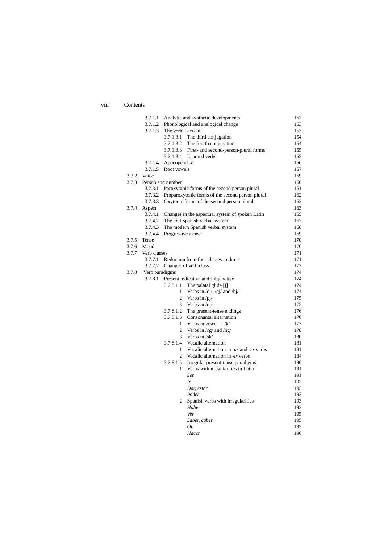|       | 3.7.1.1        |                    | Analytic and synthetic developments                    | 152 |
|-------|----------------|--------------------|--------------------------------------------------------|-----|
|       | 3.7.1.2        |                    | Phonological and analogical change                     | 153 |
|       | 3.7.1.3        | The verbal accent  |                                                        | 153 |
|       |                | 3.7.1.3.1          | The third conjugation                                  | 154 |
|       |                | 3.7.1.3.2          | The fourth conjugation                                 | 154 |
|       |                | 3.7.1.3.3          | First- and second-person-plural forms                  | 155 |
|       |                | 3.7.1.3.4          | Learned verbs                                          | 155 |
|       | 3.7.1.4        | Apocope of $-e$    |                                                        | 156 |
|       | 3.7.1.5        | Root vowels        |                                                        | 157 |
| 3.7.2 | Voice          |                    |                                                        | 159 |
| 3.7.3 |                | Person and number  |                                                        | 160 |
|       | 3.7.3.1        |                    | Paroxytonic forms of the second person plural          | 161 |
|       | 3.7.3.2        |                    | Proparoxytonic forms of the second person plural       | 162 |
|       | 3.7.3.3        |                    | Oxytonic forms of the second person plural             | 163 |
| 3.7.4 | Aspect         |                    |                                                        | 163 |
|       | 3.7.4.1        |                    | Changes in the aspectual system of spoken Latin        | 165 |
|       | 3.7.4.2        |                    | The Old Spanish verbal system                          | 167 |
|       | 3.7.4.3        |                    | The modern Spanish verbal system                       | 168 |
|       | 3.7.4.4        | Progressive aspect |                                                        | 169 |
| 3.7.5 | Tense          |                    |                                                        | 170 |
| 3.7.6 | Mood           |                    |                                                        | 170 |
| 3.7.7 | Verb classes   |                    |                                                        | 171 |
|       | 3.7.7.1        |                    | Reduction from four classes to three                   | 171 |
|       | 3.7.7.2        |                    | Changes of verb class                                  | 172 |
| 3.7.8 | Verb paradigms |                    |                                                        | 174 |
|       | 3.7.8.1        |                    | Present indicative and subjunctive                     | 174 |
|       |                | 3.7.8.1.1          | The palatal glide [j]                                  | 174 |
|       |                | $\mathbf{1}$       | Verbs in $\frac{di}{dy}$ , $\frac{gi}{\text{and }/bj}$ | 174 |
|       |                | $\overline{2}$     | Verbs in /pj/                                          | 175 |
|       |                | 3                  | Verbs in /nj/                                          | 175 |
|       |                | 3.7.8.1.2          | The present-tense endings                              | 176 |
|       |                | 3.7.8.1.3          | Consonantal alternation                                | 176 |
|       |                | $\mathbf{1}$       | Verbs in vowel $+$ /k/                                 | 177 |
|       |                | $\overline{c}$     | Verbs in /rg/ and /ng/                                 | 178 |
|       |                | 3                  | Verbs in /sk/                                          | 180 |
|       |                | 3.7.8.1.4          | Vocalic alternation                                    | 181 |
|       |                | $\mathbf{1}$       | Vocalic alternation in -ar and -er verbs               | 181 |
|       |                | $\overline{2}$     | Vocalic alternation in -ir verbs                       | 184 |
|       |                | 3.7.8.1.5          | Irregular present-tense paradigms                      | 190 |
|       |                | 1                  | Verbs with irregularities in Latin                     | 191 |
|       |                |                    | Ser                                                    | 191 |
|       |                |                    | Ir                                                     | 192 |
|       |                |                    | Dar, estar                                             | 193 |
|       |                |                    | Poder                                                  | 193 |
|       |                | 2                  | Spanish verbs with irregularities                      | 193 |
|       |                |                    | Haber                                                  | 193 |
|       |                |                    | <b>Ver</b>                                             | 195 |
|       |                |                    | Saber, caber                                           | 195 |
|       |                |                    | Oír                                                    | 195 |
|       |                |                    | Hacer                                                  | 196 |
|       |                |                    |                                                        |     |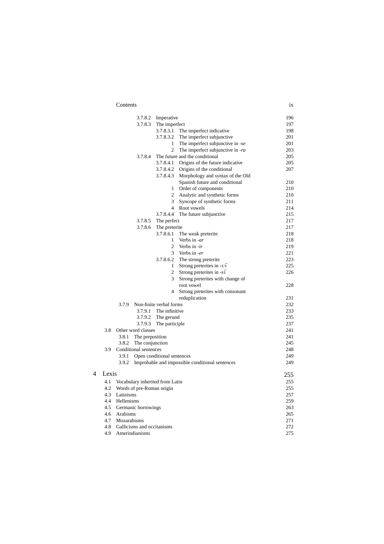# Contents ix

|   |       |                | 3.7.8.2                    | Imperative                      |                                                 | 196 |
|---|-------|----------------|----------------------------|---------------------------------|-------------------------------------------------|-----|
|   |       |                | 3.7.8.3                    | The imperfect                   |                                                 | 197 |
|   |       |                |                            | 3.7.8.3.1                       | The imperfect indicative                        | 198 |
|   |       |                |                            | 3.7.8.3.2                       | The imperfect subjunctive                       | 201 |
|   |       |                |                            | $\mathbf{1}$                    | The imperfect subjunctive in -se                | 201 |
|   |       |                |                            | $\overline{2}$                  | The imperfect subjunctive in -ra                | 203 |
|   |       |                | 3.7.8.4                    |                                 | The future and the conditional                  | 205 |
|   |       |                |                            | 3.7.8.4.1                       | Origins of the future indicative                | 205 |
|   |       |                |                            | 3.7.8.4.2                       | Origins of the conditional                      | 207 |
|   |       |                |                            | 3.7.8.4.3                       | Morphology and syntax of the Old                |     |
|   |       |                |                            |                                 | Spanish future and conditional                  | 210 |
|   |       |                |                            | $\mathbf{1}$                    | Order of components                             | 210 |
|   |       |                |                            | $\overline{2}$                  | Analytic and synthetic forms                    | 210 |
|   |       |                |                            | 3                               | Syncope of synthetic forms                      | 211 |
|   |       |                |                            | $\overline{4}$                  | Root vowels                                     | 214 |
|   |       |                |                            | 3.7.8.4.4                       | The future subjunctive                          | 215 |
|   |       |                | 3.7.8.5                    | The perfect                     |                                                 | 217 |
|   |       |                |                            | 3.7.8.6 The preterite           |                                                 | 217 |
|   |       |                |                            | 3.7.8.6.1                       | The weak preterite                              | 218 |
|   |       |                |                            | $\mathbf{1}$                    | Verbs in -ar                                    | 218 |
|   |       |                |                            | $\overline{2}$                  | Verbs in -ir                                    | 219 |
|   |       |                |                            | 3                               | Verbs in -er                                    | 221 |
|   |       |                |                            | 3.7.8.6.2                       | The strong preterite                            | 223 |
|   |       |                |                            | $\mathbf{1}$                    | Strong preterites in -UT                        | 225 |
|   |       |                |                            | $\overline{2}$                  | Strong preterites in $-ST$                      | 226 |
|   |       |                |                            | 3                               | Strong preterites with change of                |     |
|   |       |                |                            |                                 | root vowel                                      | 228 |
|   |       |                |                            | $\overline{4}$                  | Strong preterites with consonant                |     |
|   |       |                |                            |                                 | reduplication                                   | 231 |
|   |       | 3.7.9          |                            | Non-finite verbal forms         |                                                 | 232 |
|   |       |                |                            | 3.7.9.1 The infinitive          |                                                 | 233 |
|   |       |                | 3.7.9.2                    | The gerund                      |                                                 | 235 |
|   |       |                | 3.7.9.3                    | The participle                  |                                                 | 237 |
|   | 3.8   |                | Other word classes         |                                 |                                                 | 241 |
|   |       | 3.8.1          | The preposition            |                                 |                                                 | 241 |
|   |       | 3.8.2          | The conjunction            |                                 |                                                 | 245 |
|   | 3.9   |                | Conditional sentences      |                                 |                                                 | 248 |
|   |       | 3.9.1<br>3.9.2 |                            | Open conditional sentences      |                                                 | 249 |
|   |       |                |                            |                                 | Improbable and impossible conditional sentences | 249 |
| 4 | Lexis |                |                            |                                 |                                                 | 255 |
|   | 4.1   |                |                            | Vocabulary inherited from Latin |                                                 | 255 |
|   | 4.2   |                | Words of pre-Roman origin  |                                 |                                                 | 255 |
|   | 4.3   | Latinisms      |                            |                                 |                                                 | 257 |
|   | 4.4   | Hellenisms     |                            |                                 |                                                 | 259 |
|   | 4.5   |                | Germanic borrowings        |                                 |                                                 | 263 |
|   | 4.6   | Arabisms       |                            |                                 |                                                 | 265 |
|   | 4.7   | Mozarabisms    |                            |                                 |                                                 | 271 |
|   | 4.8   |                | Gallicisms and occitanisms |                                 |                                                 | 272 |
|   | 4.9   |                | Amerindianisms             |                                 |                                                 | 275 |
|   |       |                |                            |                                 |                                                 |     |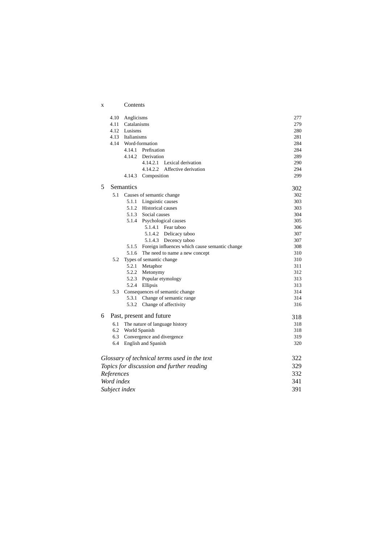| X | Contents |
|---|----------|
|   |          |

|   | 4.10          | Anglicisms          |                                 |                                                      | 277 |
|---|---------------|---------------------|---------------------------------|------------------------------------------------------|-----|
|   | 4.11          | Catalanisms         | 279                             |                                                      |     |
|   | 4.12          | Lusisms             |                                 |                                                      | 280 |
|   |               | 4.13 Italianisms    |                                 |                                                      | 281 |
|   |               | 4.14 Word-formation |                                 |                                                      | 284 |
|   |               |                     | 4.14.1 Prefixation              |                                                      | 284 |
|   |               |                     | 4.14.2 Derivation               |                                                      | 289 |
|   |               |                     | 4.14.2.1                        | Lexical derivation                                   | 290 |
|   |               |                     | 4.14.2.2                        | Affective derivation                                 | 294 |
|   |               | 4.14.3              | Composition                     |                                                      | 299 |
| 5 |               | Semantics           |                                 |                                                      | 302 |
|   | 5.1           |                     | Causes of semantic change       |                                                      | 302 |
|   |               |                     | 5.1.1 Linguistic causes         |                                                      | 303 |
|   |               |                     | 5.1.2 Historical causes         |                                                      | 303 |
|   |               |                     | 5.1.3 Social causes             |                                                      | 304 |
|   |               |                     | 5.1.4 Psychological causes      |                                                      | 305 |
|   |               |                     | 5.1.4.1 Fear taboo              |                                                      | 306 |
|   |               |                     |                                 | 5.1.4.2 Delicacy taboo                               | 307 |
|   |               |                     |                                 | 5.1.4.3 Decency taboo                                | 307 |
|   |               |                     |                                 | 5.1.5 Foreign influences which cause semantic change | 308 |
|   |               | 5.1.6               |                                 | The need to name a new concept                       | 310 |
|   | 5.2           |                     | Types of semantic change        |                                                      | 310 |
|   |               |                     | 5.2.1 Metaphor                  |                                                      | 311 |
|   |               |                     | 5.2.2 Metonymy                  |                                                      | 312 |
|   |               |                     | 5.2.3 Popular etymology         |                                                      | 313 |
|   |               | 5.2.4 Ellipsis      |                                 |                                                      | 313 |
|   | 5.3           |                     | Consequences of semantic change |                                                      | 314 |
|   |               | 5.3.1               |                                 | Change of semantic range                             | 314 |
|   |               | 5.3.2               | Change of affectivity           |                                                      | 316 |
| 6 |               |                     | Past, present and future        |                                                      | 318 |
|   | 6.1           |                     | The nature of language history  |                                                      | 318 |
|   |               | 6.2 World Spanish   |                                 |                                                      | 318 |
|   | 6.3           |                     | Convergence and divergence      |                                                      | 319 |
|   | 6.4           |                     | <b>English and Spanish</b>      |                                                      | 320 |
|   |               |                     |                                 | Glossary of technical terms used in the text         | 322 |
|   |               |                     |                                 | Topics for discussion and further reading            | 329 |
|   | References    |                     |                                 |                                                      | 332 |
|   | Word index    |                     |                                 |                                                      | 341 |
|   |               |                     |                                 |                                                      |     |
|   | Subject index |                     |                                 |                                                      | 391 |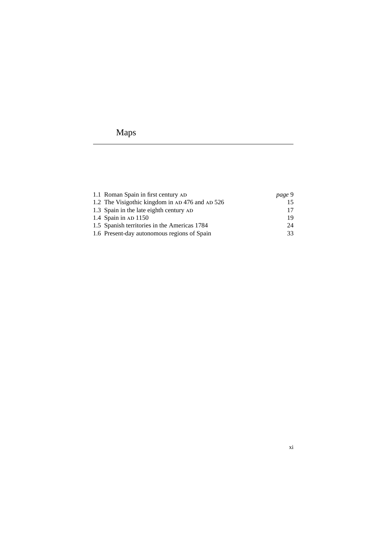# Maps

| 1.1 Roman Spain in first century AD             | page 9 |
|-------------------------------------------------|--------|
| 1.2 The Visigothic kingdom in AD 476 and AD 526 | 15     |
| 1.3 Spain in the late eighth century AD         | 17     |
| 1.4 Spain in $AD$ 1150                          | 19     |
| 1.5 Spanish territories in the Americas 1784    | 24     |
| 1.6 Present-day autonomous regions of Spain     | 33     |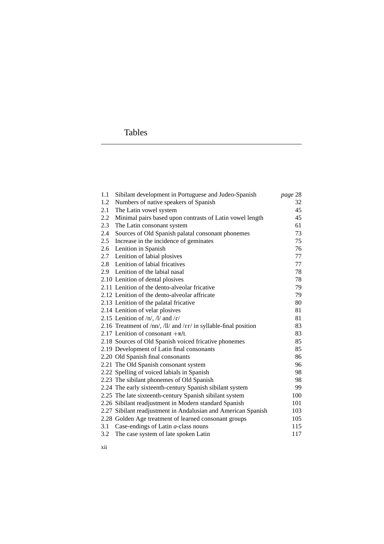| 1.1 | Sibilant development in Portuguese and Judeo-Spanish             | page 28 |
|-----|------------------------------------------------------------------|---------|
| 1.2 | Numbers of native speakers of Spanish                            | 32      |
| 2.1 | The Latin vowel system                                           | 45      |
| 2.2 | Minimal pairs based upon contrasts of Latin vowel length         | 45      |
| 2.3 | The Latin consonant system                                       | 61      |
| 2.4 | Sources of Old Spanish palatal consonant phonemes                | 73      |
| 2.5 | Increase in the incidence of geminates                           | 75      |
| 2.6 | Lenition in Spanish                                              | 76      |
| 2.7 | Lenition of labial plosives                                      | 77      |
| 2.8 | Lenition of labial fricatives                                    | 77      |
|     | 2.9 Lenition of the labial nasal                                 | 78      |
|     | 2.10 Lenition of dental plosives                                 | 78      |
|     | 2.11 Lenition of the dento-alveolar fricative                    | 79      |
|     | 2.12 Lenition of the dento-alveolar affricate                    | 79      |
|     | 2.13 Lenition of the palatal fricative                           | 80      |
|     | 2.14 Lenition of velar plosives                                  | 81      |
|     | 2.15 Lenition of $/n/$ , $/l/$ and $/r/$                         | 81      |
|     | 2.16 Treatment of /nn/, /ll/ and /rr/ in syllable-final position | 83      |
|     | 2.17 Lenition of consonant $+R/L$                                | 83      |
|     | 2.18 Sources of Old Spanish voiced fricative phonemes            | 85      |
|     | 2.19 Development of Latin final consonants                       | 85      |
|     | 2.20 Old Spanish final consonants                                | 86      |
|     | 2.21 The Old Spanish consonant system                            | 96      |
|     | 2.22 Spelling of voiced labials in Spanish                       | 98      |
|     | 2.23 The sibilant phonemes of Old Spanish                        | 98      |
|     | 2.24 The early sixteenth-century Spanish sibilant system         | 99      |
|     | 2.25 The late sixteenth-century Spanish sibilant system          | 100     |
|     | 2.26 Sibilant readjustment in Modern standard Spanish            | 101     |
|     | 2.27 Sibilant readjustment in Andalusian and American Spanish    | 103     |
|     | 2.28 Golden Age treatment of learned consonant groups            | 105     |
|     | 3.1 Case-endings of Latin $a$ -class nouns                       | 115     |
| 3.2 | The case system of late spoken Latin                             | 117     |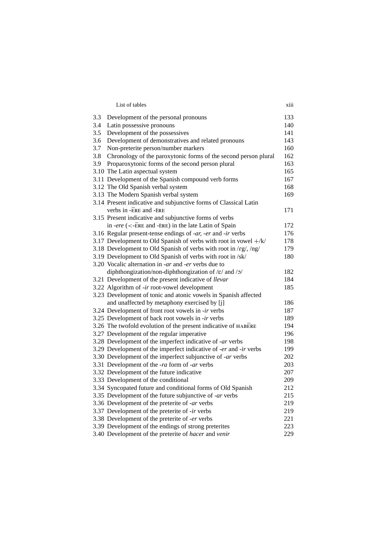|     | List of tables                                                             | xiii |
|-----|----------------------------------------------------------------------------|------|
| 3.3 | Development of the personal pronouns                                       | 133  |
| 3.4 | Latin possessive pronouns                                                  | 140  |
| 3.5 | Development of the possessives                                             | 141  |
| 3.6 | Development of demonstratives and related pronouns                         | 143  |
| 3.7 | Non-preterite person/number markers                                        | 160  |
| 3.8 | Chronology of the paroxytonic forms of the second person plural            | 162  |
| 3.9 | Proparoxytonic forms of the second person plural                           | 163  |
|     | 3.10 The Latin aspectual system                                            | 165  |
|     | 3.11 Development of the Spanish compound verb forms                        | 167  |
|     | 3.12 The Old Spanish verbal system                                         | 168  |
|     | 3.13 The Modern Spanish verbal system                                      | 169  |
|     | 3.14 Present indicative and subjunctive forms of Classical Latin           |      |
|     | verbs in -ERE and -ERE                                                     | 171  |
|     | 3.15 Present indicative and subjunctive forms of verbs                     |      |
|     | in -ere ( $\lt$ -ERE and -ERE) in the late Latin of Spain                  | 172  |
|     | 3.16 Regular present-tense endings of -ar, -er and -ir verbs               | 176  |
|     | 3.17 Development to Old Spanish of verbs with root in vowel $+\frac{1}{k}$ | 178  |
|     | 3.18 Development to Old Spanish of verbs with root in /rg/, /ng/           | 179  |
|     | 3.19 Development to Old Spanish of verbs with root in /sk/                 | 180  |
|     | 3.20 Vocalic alternation in -ar and -er verbs due to                       |      |
|     | diphthongization/non-diphthongization of /ɛ/ and /ɔ/                       | 182  |
|     | 3.21 Development of the present indicative of <i>llevar</i>                | 184  |
|     | 3.22 Algorithm of -ir root-vowel development                               | 185  |
|     | 3.23 Development of tonic and atonic vowels in Spanish affected            |      |
|     | and unaffected by metaphony exercised by [j]                               | 186  |
|     | 3.24 Development of front root vowels in -ir verbs                         | 187  |
|     | 3.25 Development of back root vowels in -ir verbs                          | 189  |
|     | 3.26 The twofold evolution of the present indicative of HABERE             | 194  |
|     | 3.27 Development of the regular imperative                                 | 196  |
|     | 3.28 Development of the imperfect indicative of -ar verbs                  | 198  |
|     | 3.29 Development of the imperfect indicative of -er and -ir verbs          | 199  |
|     | 3.30 Development of the imperfect subjunctive of -ar verbs                 | 202  |
|     | 3.31 Development of the -ra form of -ar verbs                              | 203  |
|     | 3.32 Development of the future indicative                                  | 207  |
|     | 3.33 Development of the conditional                                        | 209  |
|     | 3.34 Syncopated future and conditional forms of Old Spanish                | 212  |
|     | 3.35 Development of the future subjunctive of -ar verbs                    | 215  |
|     | 3.36 Development of the preterite of -ar verbs                             | 219  |
|     | 3.37 Development of the preterite of -ir verbs                             | 219  |
|     | 3.38 Development of the preterite of -er verbs                             | 221  |
|     | 3.39 Development of the endings of strong preterites                       | 223  |
|     | 3.40 Development of the preterite of hacer and venir                       | 229  |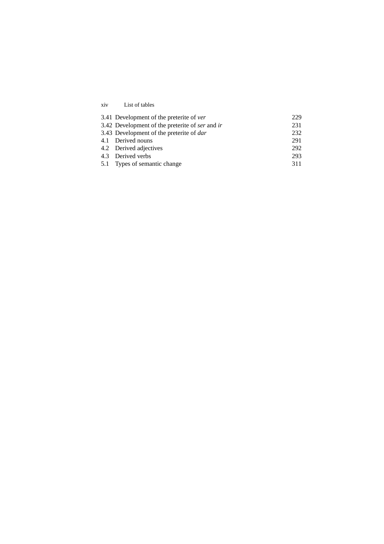xiv List of tables

| 3.41 Development of the preterite of ver        | 229 |
|-------------------------------------------------|-----|
| 3.42 Development of the preterite of ser and ir | 231 |
| 3.43 Development of the preterite of dar        | 232 |
| 4.1 Derived nouns                               | 291 |
| 4.2 Derived adjectives                          | 292 |
| 4.3 Derived verbs                               | 293 |
| 5.1 Types of semantic change                    | 311 |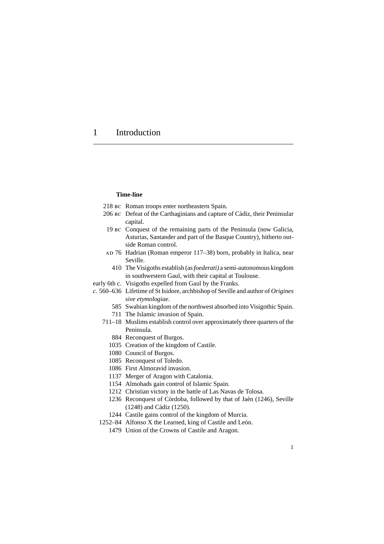### **Time-line**

- 218 bc Roman troops enter northeastern Spain.
- 206 BC Defeat of the Carthaginians and capture of Cádiz, their Peninsular capital.
	- 19 bc Conquest of the remaining parts of the Peninsula (now Galicia, Asturias, Santander and part of the Basque Country), hitherto outside Roman control.
- AD 76 Hadrian (Roman emperor 117–38) born, probably in Italica, near Seville.
	- 410 The Visigoths establish (as*foederati)* a semi-autonomous kingdom in southwestern Gaul, with their capital at Toulouse.
- early 6th c. Visigoths expelled from Gaul by the Franks.
- *c*. 560–636 Lifetime of St Isidore, archbishop of Seville and author of *Origines sive etymologiae*.
	- 585 Swabian kingdom of the northwest absorbed into Visigothic Spain.
	- 711 The Islamic invasion of Spain.
	- 711–18 Muslims establish control over approximately three quarters of the Peninsula.
		- 884 Reconquest of Burgos.
		- 1035 Creation of the kingdom of Castile.
		- 1080 Council of Burgos.
		- 1085 Reconquest of Toledo.
		- 1086 First Almoravid invasion.
		- 1137 Merger of Aragon with Catalonia.
		- 1154 Almohads gain control of Islamic Spain.
		- 1212 Christian victory in the battle of Las Navas de Tolosa.
		- 1236 Reconquest of Córdoba, followed by that of Jaén (1246), Seville  $(1248)$  and Cádiz  $(1250)$ .
		- 1244 Castile gains control of the kingdom of Murcia.
	- $1252-84$  Alfonso X the Learned, king of Castile and León.
		- 1479 Union of the Crowns of Castile and Aragon.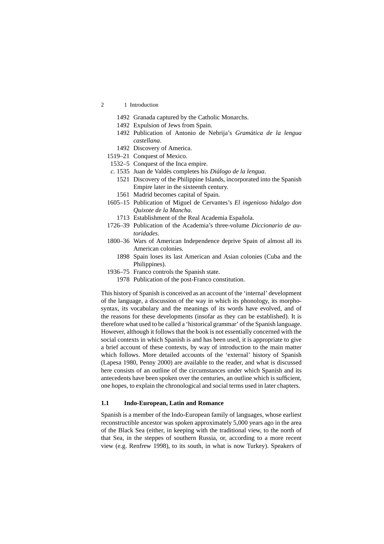- 2 1 Introduction
	- 1492 Granada captured by the Catholic Monarchs.
	- 1492 Expulsion of Jews from Spain.
	- 1492 Publication of Antonio de Nebrija's *Gramatica de la lengua ´ castellana*.
	- 1492 Discovery of America.
	- 1519–21 Conquest of Mexico.
	- 1532–5 Conquest of the Inca empire.
	- *c.* 1535 Juan de Vald´es completes his *Dialogo de la lengua ´* .
		- 1521 Discovery of the Philippine Islands, incorporated into the Spanish Empire later in the sixteenth century.
			- 1561 Madrid becomes capital of Spain.
	- 1605–15 Publication of Miguel de Cervantes's *El ingenioso hidalgo don Quixote de la Mancha*.
		- 1713 Establishment of the Real Academia Española.
	- 1726–39 Publication of the Academia's three-volume *Diccionario de autoridades*.
	- 1800–36 Wars of American Independence deprive Spain of almost all its American colonies.
		- 1898 Spain loses its last American and Asian colonies (Cuba and the Philippines).
	- 1936–75 Franco controls the Spanish state.
		- 1978 Publication of the post-Franco constitution.

This history of Spanish is conceived as an account of the 'internal' development of the language, a discussion of the way in which its phonology, its morphosyntax, its vocabulary and the meanings of its words have evolved, and of the reasons for these developments (insofar as they can be established). It is therefore what used to be called a 'historical grammar' of the Spanish language. However, although it follows that the book is not essentially concerned with the social contexts in which Spanish is and has been used, it is appropriate to give a brief account of these contexts, by way of introduction to the main matter which follows. More detailed accounts of the 'external' history of Spanish (Lapesa 1980, Penny 2000) are available to the reader, and what is discussed here consists of an outline of the circumstances under which Spanish and its antecedents have been spoken over the centuries, an outline which is sufficient, one hopes, to explain the chronological and social terms used in later chapters.

# **1.1 Indo-European, Latin and Romance**

Spanish is a member of the Indo-European family of languages, whose earliest reconstructible ancestor was spoken approximately 5,000 years ago in the area of the Black Sea (either, in keeping with the traditional view, to the north of that Sea, in the steppes of southern Russia, or, according to a more recent view (e.g. Renfrew 1998), to its south, in what is now Turkey). Speakers of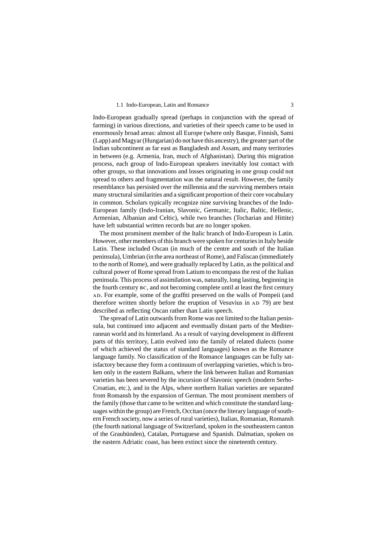Indo-European gradually spread (perhaps in conjunction with the spread of farming) in various directions, and varieties of their speech came to be used in enormously broad areas: almost all Europe (where only Basque, Finnish, Sami (Lapp) and Magyar (Hungarian) do not have this ancestry), the greater part of the Indian subcontinent as far east as Bangladesh and Assam, and many territories in between (e.g. Armenia, Iran, much of Afghanistan). During this migration process, each group of Indo-European speakers inevitably lost contact with other groups, so that innovations and losses originating in one group could not spread to others and fragmentation was the natural result. However, the family resemblance has persisted over the millennia and the surviving members retain many structural similarities and a significant proportion of their core vocabulary in common. Scholars typically recognize nine surviving branches of the Indo-European family (Indo-Iranian, Slavonic, Germanic, Italic, Baltic, Hellenic, Armenian, Albanian and Celtic), while two branches (Tocharian and Hittite) have left substantial written records but are no longer spoken.

The most prominent member of the Italic branch of Indo-European is Latin. However, other members of this branch were spoken for centuries in Italy beside Latin. These included Oscan (in much of the centre and south of the Italian peninsula), Umbrian (in the area northeast of Rome), and Faliscan (immediately to the north of Rome), and were gradually replaced by Latin, as the political and cultural power of Rome spread from Latium to encompass the rest of the Italian peninsula. This process of assimilation was, naturally, long lasting, beginning in the fourth century bc, and not becoming complete until at least the first century AD. For example, some of the graffiti preserved on the walls of Pompeii (and therefore written shortly before the eruption of Vesuvius in AD 79) are best described as reflecting Oscan rather than Latin speech.

The spread of Latin outwards from Rome was not limited to the Italian peninsula, but continued into adjacent and eventually distant parts of the Mediterranean world and its hinterland. As a result of varying development in different parts of this territory, Latin evolved into the family of related dialects (some of which achieved the status of standard languages) known as the Romance language family. No classification of the Romance languages can be fully satisfactory because they form a continuum of overlapping varieties, which is broken only in the eastern Balkans, where the link between Italian and Romanian varieties has been severed by the incursion of Slavonic speech (modern Serbo-Croatian, etc.), and in the Alps, where northern Italian varieties are separated from Romansh by the expansion of German. The most prominent members of the family (those that came to be written and which constitute the standard languages within the group) are French, Occitan (once the literary language of southern French society, now a series of rural varieties), Italian, Romanian, Romansh (the fourth national language of Switzerland, spoken in the southeastern canton of the Graubünden), Catalan, Portuguese and Spanish. Dalmatian, spoken on the eastern Adriatic coast, has been extinct since the nineteenth century.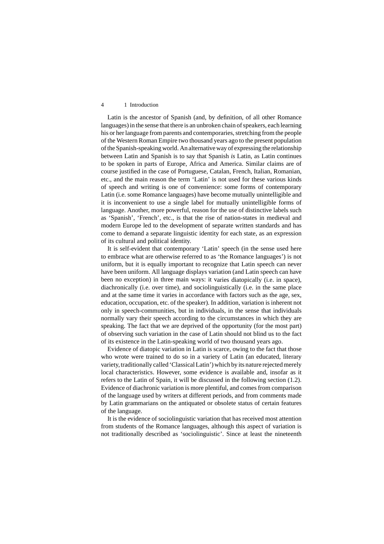Latin is the ancestor of Spanish (and, by definition, of all other Romance languages) in the sense that there is an unbroken chain of speakers, each learning his or her language from parents and contemporaries, stretching from the people of the Western Roman Empire two thousand years ago to the present population of the Spanish-speaking world. An alternative way of expressing the relationship between Latin and Spanish is to say that Spanish *is* Latin, as Latin continues to be spoken in parts of Europe, Africa and America. Similar claims are of course justified in the case of Portuguese, Catalan, French, Italian, Romanian, etc., and the main reason the term 'Latin' is not used for these various kinds of speech and writing is one of convenience: some forms of contemporary Latin (i.e. some Romance languages) have become mutually unintelligible and it is inconvenient to use a single label for mutually unintelligible forms of language. Another, more powerful, reason for the use of distinctive labels such as 'Spanish', 'French', etc., is that the rise of nation-states in medieval and modern Europe led to the development of separate written standards and has come to demand a separate linguistic identity for each state, as an expression of its cultural and political identity.

It is self-evident that contemporary 'Latin' speech (in the sense used here to embrace what are otherwise referred to as 'the Romance languages') is not uniform, but it is equally important to recognize that Latin speech can never have been uniform. All language displays variation (and Latin speech can have been no exception) in three main ways: it varies diatopically (i.e. in space), diachronically (i.e. over time), and sociolinguistically (i.e. in the same place and at the same time it varies in accordance with factors such as the age, sex, education, occupation, etc. of the speaker). In addition, variation is inherent not only in speech-communities, but in individuals, in the sense that individuals normally vary their speech according to the circumstances in which they are speaking. The fact that we are deprived of the opportunity (for the most part) of observing such variation in the case of Latin should not blind us to the fact of its existence in the Latin-speaking world of two thousand years ago.

Evidence of diatopic variation in Latin is scarce, owing to the fact that those who wrote were trained to do so in a variety of Latin (an educated, literary variety, traditionally called 'Classical Latin') which by its nature rejected merely local characteristics. However, some evidence is available and, insofar as it refers to the Latin of Spain, it will be discussed in the following section (1.2). Evidence of diachronic variation is more plentiful, and comes from comparison of the language used by writers at different periods, and from comments made by Latin grammarians on the antiquated or obsolete status of certain features of the language.

It is the evidence of sociolinguistic variation that has received most attention from students of the Romance languages, although this aspect of variation is not traditionally described as 'sociolinguistic'. Since at least the nineteenth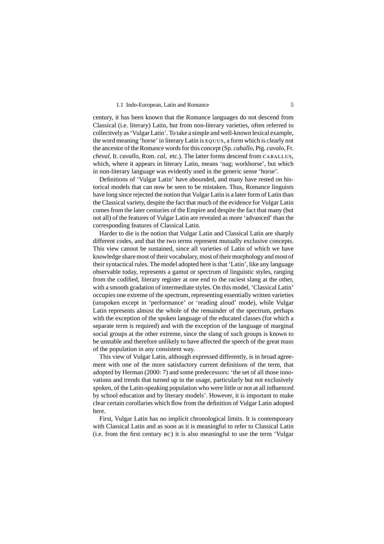century, it has been known that the Romance languages do not descend from Classical (i.e. literary) Latin, but from non-literary varieties, often referred to collectively as 'Vulgar Latin'. To take a simple and well-known lexical example, the word meaning 'horse' in literary Latin is equus, a form which is clearly not the ancestor of the Romance words for this concept (Sp. *caballo*, Ptg. *cavalo*, Fr. *cheval*, It. *cavallo*, Rom. *cal*, etc.). The latter forms descend from CABALLUS, which, where it appears in literary Latin, means 'nag; workhorse', but which in non-literary language was evidently used in the generic sense 'horse'.

Definitions of 'Vulgar Latin' have abounded, and many have rested on historical models that can now be seen to be mistaken. Thus, Romance linguists have long since rejected the notion that Vulgar Latin is a later form of Latin than the Classical variety, despite the fact that much of the evidence for Vulgar Latin comes from the later centuries of the Empire and despite the fact that many (but not all) of the features of Vulgar Latin are revealed as more 'advanced' than the corresponding features of Classical Latin.

Harder to die is the notion that Vulgar Latin and Classical Latin are sharply different codes, and that the two terms represent mutually exclusive concepts. This view cannot be sustained, since all varieties of Latin of which we have knowledge share most of their vocabulary, most of their morphology and most of their syntactical rules. The model adopted here is that 'Latin', like any language observable today, represents a gamut or spectrum of linguistic styles, ranging from the codified, literary register at one end to the raciest slang at the other, with a smooth gradation of intermediate styles. On this model, 'Classical Latin' occupies one extreme of the spectrum, representing essentially written varieties (unspoken except in 'performance' or 'reading aloud' mode), while Vulgar Latin represents almost the whole of the remainder of the spectrum, perhaps with the exception of the spoken language of the educated classes (for which a separate term is required) and with the exception of the language of marginal social groups at the other extreme, since the slang of such groups is known to be unstable and therefore unlikely to have affected the speech of the great mass of the population in any consistent way.

This view of Vulgar Latin, although expressed differently, is in broad agreement with one of the more satisfactory current definitions of the term, that adopted by Herman (2000: 7) and some predecessors: 'the set of all those innovations and trends that turned up in the usage, particularly but not exclusively spoken, of the Latin-speaking population who were little or not at all influenced by school education and by literary models'. However, it is important to make clear certain corollaries which flow from the definition of Vulgar Latin adopted here.

First, Vulgar Latin has no implicit chronological limits. It is contemporary with Classical Latin and as soon as it is meaningful to refer to Classical Latin (i.e. from the first century bc) it is also meaningful to use the term 'Vulgar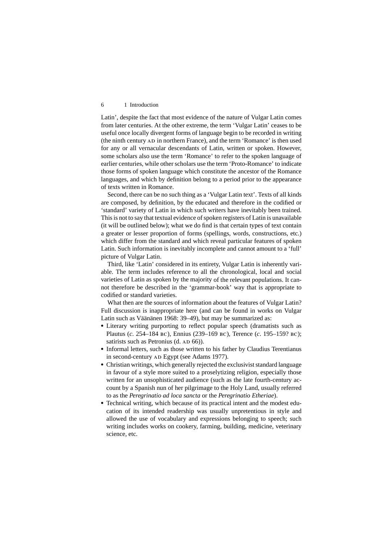Latin', despite the fact that most evidence of the nature of Vulgar Latin comes from later centuries. At the other extreme, the term 'Vulgar Latin' ceases to be useful once locally divergent forms of language begin to be recorded in writing (the ninth century AD in northern France), and the term 'Romance' is then used for any or all vernacular descendants of Latin, written or spoken. However, some scholars also use the term 'Romance' to refer to the spoken language of earlier centuries, while other scholars use the term 'Proto-Romance' to indicate those forms of spoken language which constitute the ancestor of the Romance languages, and which by definition belong to a period prior to the appearance of texts written in Romance.

Second, there can be no such thing as a 'Vulgar Latin text'. Texts of all kinds are composed, by definition, by the educated and therefore in the codified or 'standard' variety of Latin in which such writers have inevitably been trained. This is not to say that textual evidence of spoken registers of Latin is unavailable (it will be outlined below); what we do find is that certain types of text contain a greater or lesser proportion of forms (spellings, words, constructions, etc.) which differ from the standard and which reveal particular features of spoken Latin. Such information is inevitably incomplete and cannot amount to a 'full' picture of Vulgar Latin.

Third, like 'Latin' considered in its entirety, Vulgar Latin is inherently variable. The term includes reference to all the chronological, local and social varieties of Latin as spoken by the majority of the relevant populations. It cannot therefore be described in the 'grammar-book' way that is appropriate to codified or standard varieties.

What then are the sources of information about the features of Vulgar Latin? Full discussion is inappropriate here (and can be found in works on Vulgar Latin such as Väänänen 1968: 39–49), but may be summarized as:

- Literary writing purporting to reflect popular speech (dramatists such as Plautus (*c*. 254–184 bc), Ennius (239–169 bc), Terence (*c*. 195–159? bc); satirists such as Petronius (d. AD 66)).
- Informal letters, such as those written to his father by Claudius Terentianus in second-century AD Egypt (see Adams 1977).
- Christian writings, which generally rejected the exclusivist standard language in favour of a style more suited to a proselytizing religion, especially those written for an unsophisticated audience (such as the late fourth-century account by a Spanish nun of her pilgrimage to the Holy Land, usually referred to as the *Peregrinatio ad loca sancta* or the *Peregrinatio Etheriae*).
- Technical writing, which because of its practical intent and the modest education of its intended readership was usually unpretentious in style and allowed the use of vocabulary and expressions belonging to speech; such writing includes works on cookery, farming, building, medicine, veterinary science, etc.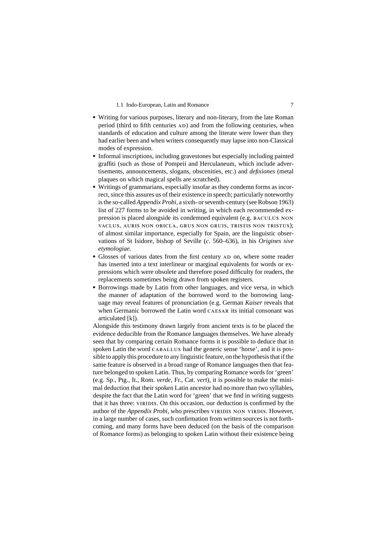- Writing for various purposes, literary and non-literary, from the late Roman period (third to fifth centuries AD) and from the following centuries, when standards of education and culture among the literate were lower than they had earlier been and when writers consequently may lapse into non-Classical modes of expression.
- Informal inscriptions, including gravestones but especially including painted graffiti (such as those of Pompeii and Herculaneum, which include advertisements, announcements, slogans, obscenities, etc.) and *defixiones* (metal plaques on which magical spells are scratched).
- Writings of grammarians, especially insofar as they condemn forms as incorrect, since this assures us of their existence in speech; particularly noteworthy is the so-called *Appendix Probi*, a sixth- or seventh-century (see Robson 1963) list of 227 forms to be avoided in writing, in which each recommended expression is placed alongside its condemned equivalent (e.g. baculus non vaclus, auris non oricla, grus non gruis, tristis non tristus); of almost similar importance, especially for Spain, are the linguistic observations of St Isidore, bishop of Seville (*c*. 560–636), in his *Origines sive etymologiae*.
- Glosses of various dates from the first century AD on, where some reader has inserted into a text interlinear or marginal equivalents for words or expressions which were obsolete and therefore posed difficulty for readers, the replacements sometimes being drawn from spoken registers.
- Borrowings made by Latin from other languages, and vice versa, in which the manner of adaptation of the borrowed word to the borrowing language may reveal features of pronunciation (e.g. German *Kaiser* reveals that when Germanic borrowed the Latin word CAESAR its initial consonant was articulated [k]).

Alongside this testimony drawn largely from ancient texts is to be placed the evidence deducible from the Romance languages themselves. We have already seen that by comparing certain Romance forms it is possible to deduce that in spoken Latin the word CABALLUS had the generic sense 'horse', and it is possible to apply this procedure to any linguistic feature, on the hypothesis that if the same feature is observed in a broad range of Romance languages then that feature belonged to spoken Latin. Thus, by comparing Romance words for 'green' (e.g. Sp., Ptg., It., Rom. *verde*, Fr., Cat. *vert*), it is possible to make the minimal deduction that their spoken Latin ancestor had no more than two syllables, despite the fact that the Latin word for 'green' that we find in writing suggests that it has three: VIRIDIS. On this occasion, our deduction is confirmed by the author of the *Appendix Probi*, who prescribes viridis non virdis. However, in a large number of cases, such confirmation from written sources is not forthcoming, and many forms have been deduced (on the basis of the comparison of Romance forms) as belonging to spoken Latin without their existence being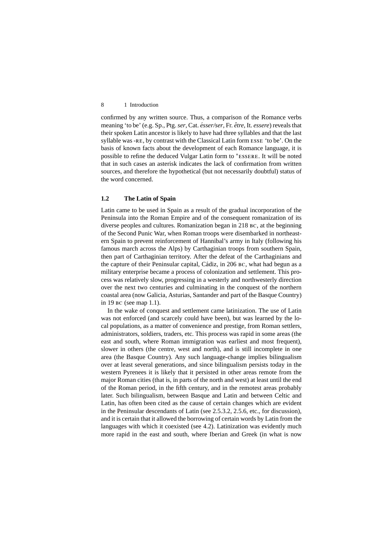confirmed by any written source. Thus, a comparison of the Romance verbs meaning 'to be' (e.g. Sp., Ptg. *ser*, Cat. *esser/ser ´* , Fr. *etre ˆ* , It. *essere*) reveals that their spoken Latin ancestor is likely to have had three syllables and that the last syllable was -RE, by contrast with the Classical Latin form ESSE 'to be'. On the basis of known facts about the development of each Romance language, it is possible to refine the deduced Vulgar Latin form to <sup>∗</sup>essere. It will be noted that in such cases an asterisk indicates the lack of confirmation from written sources, and therefore the hypothetical (but not necessarily doubtful) status of the word concerned.

## **1.2 The Latin of Spain**

Latin came to be used in Spain as a result of the gradual incorporation of the Peninsula into the Roman Empire and of the consequent romanization of its diverse peoples and cultures. Romanization began in 218 bc, at the beginning of the Second Punic War, when Roman troops were disembarked in northeastern Spain to prevent reinforcement of Hannibal's army in Italy (following his famous march across the Alps) by Carthaginian troops from southern Spain, then part of Carthaginian territory. After the defeat of the Carthaginians and the capture of their Peninsular capital, Cádiz, in 206 BC, what had begun as a military enterprise became a process of colonization and settlement. This process was relatively slow, progressing in a westerly and northwesterly direction over the next two centuries and culminating in the conquest of the northern coastalarea (now Galicia, Asturias, Santander and part of the Basque Country) in 19 bc (see map 1.1).

In the wake of conquest and settlement came latinization. The use of Latin was not enforced (and scarcely could have been), but was learned by the local populations, as a matter of convenience and prestige, from Roman settlers, administrators, soldiers, traders, etc. This process was rapid in some areas (the east and south, where Roman immigration was earliest and most frequent), slower in others (the centre, west and north), and is still incomplete in one area (the Basque Country). Any such language-change implies bilingualism over at least several generations, and since bilingualism persists today in the western Pyrenees it is likely that it persisted in other areas remote from the major Roman cities (that is, in parts of the north and west) at least until the end of the Roman period, in the fifth century, and in the remotest areas probably later. Such bilingualism, between Basque and Latin and between Celtic and Latin, has often been cited as the cause of certain changes which are evident in the Peninsular descendants of Latin (see 2.5.3.2, 2.5.6, etc., for discussion), and it is certain that it allowed the borrowing of certain words by Latin from the languages with which it coexisted (see 4.2). Latinization was evidently much more rapid in the east and south, where Iberian and Greek (in what is now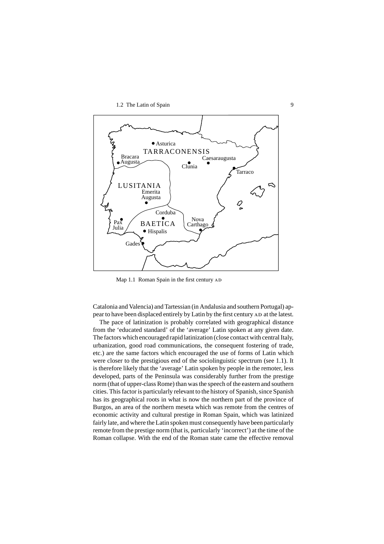

Map 1.1 Roman Spain in the first century AD

Catalonia and Valencia) and Tartessian (in Andalusia and southern Portugal) appear to have been displaced entirely by Latin by the first century  $AD$  at the latest.

The pace of latinization is probably correlated with geographical distance from the 'educated standard' of the 'average' Latin spoken at any given date. The factors which encouraged rapid latinization (close contact with central Italy, urbanization, good road communications, the consequent fostering of trade, etc.) are the same factors which encouraged the use of forms of Latin which were closer to the prestigious end of the sociolinguistic spectrum (see 1.1). It is therefore likely that the 'average' Latin spoken by people in the remoter, less developed, parts of the Peninsula was considerably further from the prestige norm (that of upper-class Rome) than was the speech of the eastern and southern cities. This factor is particularly relevant to the history of Spanish, since Spanish has its geographical roots in what is now the northern part of the province of Burgos, an area of the northern meseta which was remote from the centres of economic activity and cultural prestige in Roman Spain, which was latinized fairly late, and where the Latin spoken must consequently have been particularly remote from the prestige norm (that is, particularly 'incorrect') at the time of the Roman collapse. With the end of the Roman state came the effective removal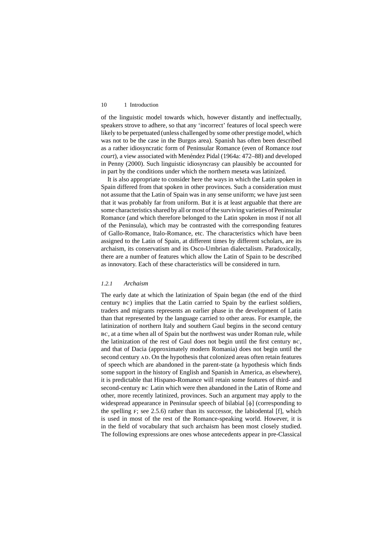of the linguistic model towards which, however distantly and ineffectually, speakers strove to adhere, so that any 'incorrect' features of local speech were likely to be perpetuated (unless challenged by some other prestige model, which was not to be the case in the Burgos area). Spanish has often been described as a rather idiosyncratic form of Peninsular Romance (even of Romance *tout court*), a view associated with Menéndez Pidal (1964a: 472–88) and developed in Penny (2000). Such linguistic idiosyncrasy can plausibly be accounted for in part by the conditions under which the northern meseta was latinized.

It is also appropriate to consider here the ways in which the Latin spoken in Spain differed from that spoken in other provinces. Such a consideration must not assume that the Latin of Spain was in any sense uniform; we have just seen that it was probably far from uniform. But it is at least arguable that there are some characteristics shared by all or most of the surviving varieties of Peninsular Romance (and which therefore belonged to the Latin spoken in most if not all of the Peninsula), which may be contrasted with the corresponding features of Gallo-Romance, Italo-Romance, etc. The characteristics which have been assigned to the Latin of Spain, at different times by different scholars, are its archaism, its conservatism and its Osco-Umbrian dialectalism. Paradoxically, there are a number of features which allow the Latin of Spain to be described as innovatory. Each of these characteristics will be considered in turn.

### *1.2.1 Archaism*

The early date at which the latinization of Spain began (the end of the third century bc) implies that the Latin carried to Spain by the earliest soldiers, traders and migrants represents an earlier phase in the development of Latin than that represented by the language carried to other areas. For example, the latinization of northern Italy and southern Gaul begins in the second century bc, at a time when all of Spain but the northwest was under Roman rule, while the latinization of the rest of Gaul does not begin until the first century  $BC$ , and that of Dacia (approximately modern Romania) does not begin until the second century AD. On the hypothesis that colonized areas often retain features of speech which are abandoned in the parent-state (a hypothesis which finds some support in the history of English and Spanish in America, as elsewhere), it is predictable that Hispano-Romance will retain some features of third- and second-century bc Latin which were then abandoned in the Latin of Rome and other, more recently latinized, provinces. Such an argument may apply to the widespread appearance in Peninsular speech of bilabial [φ] (corresponding to the spelling  $F$ ; see 2.5.6) rather than its successor, the labiodental [f], which is used in most of the rest of the Romance-speaking world. However, it is in the field of vocabulary that such archaism has been most closely studied. The following expressions are ones whose antecedents appear in pre-Classical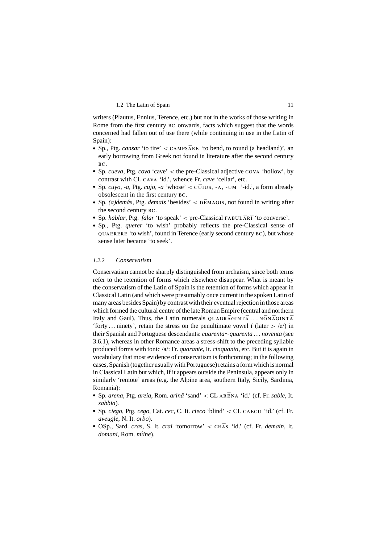writers (Plautus, Ennius, Terence, etc.) but not in the works of those writing in Rome from the first century bc onwards, facts which suggest that the words concerned had fallen out of use there (while continuing in use in the Latin of Spain):

- Sp., Ptg. *cansar* 'to tire' < CAMPSARE 'to bend, to round (a headland)', an early borrowing from Greek not found in literature after the second century BC.
- Sp. *cueva*, Ptg*. cova* 'cave' *<* the pre-Classical adjective cova 'hollow', by contrast with CL cava 'id.', whence Fr. *cave* 'cellar', etc.
- Sp. *cuyo, -a, Ptg. <i>cujo, -a* 'whose'  $\lt$  cū<sub>IUS</sub>, -A, -UM '-id.', a form already obsolescent in the first century bc.
- Sp. *(a)demás*, Ptg. *demais* 'besides' < DEMAGIS, not found in writing after the second century bc.
- Sp. *hablar*, Ptg. *falar* 'to speak' < pre-Classical FABULARI 'to converse'.
- Sp., Ptg. *querer* 'to wish' probably reflects the pre-Classical sense of quaerere 'to wish', found in Terence (early second century bc), but whose sense later became 'to seek'.

# *1.2.2 Conservatism*

Conservatism cannot be sharply distinguished from archaism, since both terms refer to the retention of forms which elsewhere disappear. What is meant by the conservatism of the Latin of Spain is the retention of forms which appear in Classical Latin (and which were presumably once current in the spoken Latin of many areas besides Spain) by contrast with their eventual rejection in those areas which formed the cultural centre of the late Roman Empire (central and northern Italy and Gaul). Thus, the Latin numerals  $QUADRAGINTA$ ... $N\overline{O}NAGINTA$ 'forty... ninety', retain the stress on the penultimate vowel  $\check{\tau}$  (later  $>$  /e/) in their Spanish and Portuguese descendants: *cuarenta*∼*quarenta . . . noventa* (see 3.6.1), whereas in other Romance areas a stress-shift to the preceding syllable produced forms with tonic /a/: Fr. *quarante*, It. *cinquanta*, etc. But it is again in vocabulary that most evidence of conservatism is forthcoming; in the following cases, Spanish (together usually with Portuguese) retains a form which is normal in Classical Latin but which, if it appears outside the Peninsula, appears only in similarly 'remote' areas (e.g. the Alpine area, southern Italy, Sicily, Sardinia, Romania):

- Sp. *arena*, Ptg. *areia*, Rom. *arină* 'sand' < CL ARĒNA 'id.' (cf. Fr. *sable*, It. *sabbia*)*.*
- Sp. *ciego*, Ptg. *cego*, Cat. *cec*, C. It. *cieco* 'blind' *<* CL caecu 'id.' (cf. Fr. *aveugle*, N. It. *orbo*)*.*
- OSp., Sard. *cras*, S. It. *crai* 'tomorrow' < CRAS 'id.' (cf. Fr. *demain*, It. *domani*, Rom. *mˆıine*).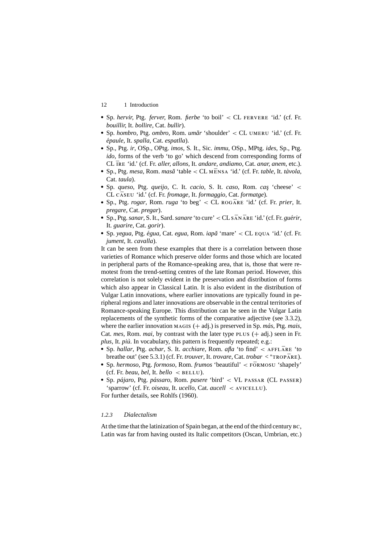- Sp. *hervir*, Ptg. *ferver*, Rom. *fierbe* 'to boil' *<* CL fervere 'id.' (cf. Fr. *bouillir*, It. *bollire*, Cat. *bullir*).
- Sp. *hombro*, Ptg. *ombro*, Rom. *umar˘* 'shoulder' *<* CL umeru 'id.' (cf. Fr. *epaule ´* , It. *spalla*, Cat. *espatlla*).
- Sp., Ptg. *ir*, OSp., OPtg. *imos*, S*.* It., Sic. *immu*, OSp., MPtg. *ides*, Sp., Ptg. *ido*, forms of the verb 'to go' which descend from corresponding forms of CL ¯ire 'id.' (cf. Fr. *aller, allons*, It. *andare, andiamo*, Cat. *anar, anem*, etc.).
- Sp., Ptg. *mesa*, Rom. *masă* 'table < CL MENSA 'id.' (cf. Fr. *table*, It. *tàvola*, Cat. *taula*).
- Sp. *queso*, Ptg. *queijo*, C. It. *cacio*, S. It. *caso*, Rom. *cas*¸ 'cheese' *<* CL caseu ¯ 'id.' (cf. Fr. *fromage*, It. *formaggio*, Cat. *formatge*)*.*
- Sp., Ptg. *rogar*, Rom. *ruga* 'to beg' *<* CL rogare ¯ 'id.' (cf. Fr. *prier*, It. *pregare*, Cat. *pregar*).
- Sp., Ptg. sanar, S. It., Sard. sanare 'to cure' < CL sANARE 'id.' (cf. Fr. *guérir*, It. *guarire*, Cat. *gorir*).
- Sp. *yegua*, Ptg. *egua ´* , Cat. *egua*, Rom. *iapa˘* 'mare' *<* CL equa 'id.' (cf. Fr. *jument*, It. *cavalla*).

It can be seen from these examples that there is a correlation between those varieties of Romance which preserve older forms and those which are located in peripheral parts of the Romance-speaking area, that is, those that were remotest from the trend-setting centres of the late Roman period. However, this correlation is not solely evident in the preservation and distribution of forms which also appear in Classical Latin. It is also evident in the distribution of Vulgar Latin innovations, where earlier innovations are typically found in peripheral regions and later innovations are observable in the central territories of Romance-speaking Europe. This distribution can be seen in the Vulgar Latin replacements of the synthetic forms of the comparative adjective (see 3.3.2), where the earlier innovation MAGIS (+ adj.) is preserved in Sp. *más*, Ptg. *mais*, Cat. *mes*, Rom. *mai*, by contrast with the later type PLUS (+ adj.) seen in Fr. *plus*, It. *piu`*. In vocabulary, this pattern is frequently repeated; e.g.:

- Sp. *hallar*, Ptg. *achar*, S. It. *acchiare*, Rom. *afla* 'to find' < AFFLARE 'to breathe out' (see 5.3.1) (cf. Fr. *trouver*, It. *trovare*, Cat. *trobar* < \*TROPARE).
- Sp. *hermoso*, Ptg. *formoso*, Rom. *frumos* 'beautiful' < FORMOSU 'shapely'  $(cf. Fr. *beau*, *bel*, It. *bello* < *BELLU*).$
- Sp. *pajaro ´* , Ptg. *passaro ´* , Rom. *pasere* 'bird' *<* VL passar (CL passer) 'sparrow' (cf. Fr. *oiseau*, It. *ucello*, Cat. *aucell* < AVICELLU).

For further details, see Rohlfs (1960).

# *1.2.3 Dialectalism*

At the time that the latinization of Spain began, at the end of the third century bc, Latin was far from having ousted its Italic competitors (Oscan, Umbrian, etc.)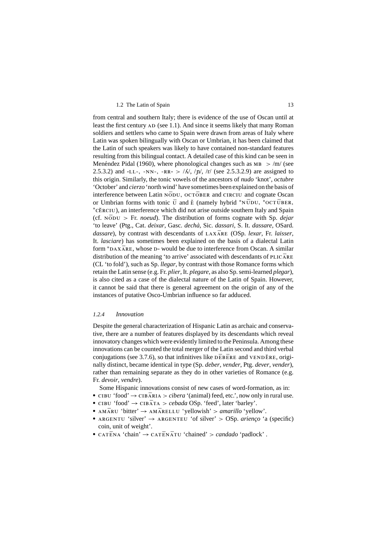from central and southern Italy; there is evidence of the use of Oscan until at least the first century  $AD$  (see 1.1). And since it seems likely that many Roman soldiers and settlers who came to Spain were drawn from areas of Italy where Latin was spoken bilingually with Oscan or Umbrian, it has been claimed that the Latin of such speakers was likely to have contained non-standard features resulting from this bilingual contact. A detailed case of this kind can be seen in Menéndez Pidal (1960), where phonological changes such as  $MB$   $>$  /m/ (see 2.5.3.2) and -LL-, -NN-, -RR-  $> /A/$ ,  $/$ n/,  $/$ r/ (see 2.5.3.2.9) are assigned to this origin. Similarly, the tonic vowels of the ancestors of *nudo* 'knot', *octubre* 'October' and *cierzo* 'north wind' have sometimes been explained on the basis of interference between Latin NODU, OCTOBER and CIRCIU and cognate Oscan or Umbrian forms with tonic  $\bar{U}$  and  $\bar{E}$  (namely hybrid \*N $\bar{U}DU$ , \*OCT $\bar{U}BER$ , \*CERCIU), an interference which did not arise outside southern Italy and Spain (cf. NoDU > Fr. *noeud*). The distribution of forms cognate with Sp. *dejar* 'to leave' (Ptg., Cat. *deixar*, Gasc. *decha`*, Sic. *dassari*, S. It. *dassare*, OSard. *dassare*), by contrast with descendants of LAXARE (OSp. *lexar*, Fr. *laisser*, It. *lasciare*) has sometimes been explained on the basis of a dialectal Latin form  $*_{\text{DAX}}$   $\bar{A}$  RE, whose D- would be due to interference from Oscan. A similar distribution of the meaning 'to arrive' associated with descendants of  $PLIC\bar{A}RE$ (CL 'to fold'), such as Sp. *llegar*, by contrast with those Romance forms which retain the Latin sense (e.g. Fr. *plier*, It. *plegare*, as also Sp. semi-learned *plegar*), is also cited as a case of the dialectal nature of the Latin of Spain. However, it cannot be said that there is general agreement on the origin of any of the instances of putative Osco-Umbrian influence so far adduced.

#### *1.2.4 Innovation*

Despite the general characterization of Hispanic Latin as archaic and conservative, there are a number of features displayed by its descendants which reveal innovatory changes which were evidently limited to the Peninsula. Among these innovations can be counted the total merger of the Latin second and third verbal conjugations (see 3.7.6), so that infinitives like  $\overline{DE}$  b  $\overline{E}$  and vendered  $\overline{E}$  , originally distinct, became identical in type (Sp. *deber*, *vender*, Ptg. *dever*, *vender*), rather than remaining separate as they do in other varieties of Romance (e.g. Fr. *devoir*, *vendre*).

Some Hispanic innovations consist of new cases of word-formation, as in:

- CIBU 'food'  $\rightarrow$  CIBĀRIA > *cibera* '(animal) feed, etc.', now only in rural use.<br>
 CIBU 'food'  $\rightarrow$  CIBĀTA > *cebada* OSp. 'feed', later 'barley'.<br>
 AMĀRU 'bitter'  $\rightarrow$  AMĀRELLU 'yellowish' > *amarillo* 'yellow'.<br>
•
- 
- 
- coin, unit of weight'.
- CATENA 'chain'  $\rightarrow$  CATENĀTU 'chained'  $>$  *candado* 'padlock'.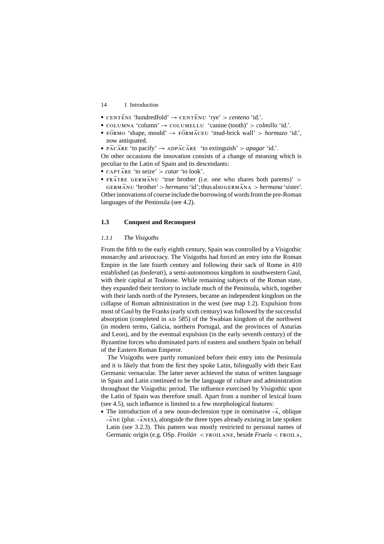### 14 1 Introduction

- 
- CENTENI 'hundredfold'  $\rightarrow$  CENTENU 'rye' > centeno 'id.'.<br>
 COLUMNA 'column'  $\rightarrow$  COLUMELLU 'canine (tooth)' > colmillo 'id.'.<br>
 FŌRMO 'shape, mould'  $\rightarrow$  FŌRMĀCEU 'mud-brick wall' > hormazo 'id.'.
- now antiquated.
- PĀCĀRE 'to pacify'  $\rightarrow$  ADPĀCĀRE 'to extinguish'  $>$  *apagar* 'id.'.

On other occasions the innovation consists of a change of meaning which is peculiar to the Latin of Spain and its descendants:

- CAPTARE 'to seize'  $>$  *catar* 'to look'.
- FRATRE GERMANU 'true brother (i.e. one who shares both parents)' >  $GERMANU'brother' > hermano'id'; thus also  $GERMANA > hermana'$  sister'.$

Other innovations of course include the borrowing of words from the pre-Roman languages of the Peninsula (see 4.2).

## **1.3 Conquest and Reconquest**

### *1.3.1 The Visigoths*

From the fifth to the early eighth century, Spain was controlled by a Visigothic monarchy and aristocracy. The Visigoths had forced an entry into the Roman Empire in the late fourth century and following their sack of Rome in 410 established (as *foederati*), a semi-autonomous kingdom in southwestern Gaul, with their capital at Toulouse. While remaining subjects of the Roman state, they expanded their territory to include much of the Peninsula, which, together with their lands north of the Pyrenees, became an independent kingdom on the collapse of Roman administration in the west (see map 1.2). Expulsion from most of Gaul by the Franks (early sixth century) was followed by the successful absorption (completed in AD 585) of the Swabian kingdom of the northwest (in modern terms, Galicia, northern Portugal, and the provinces of Asturias and Leon), and by the eventual expulsion (in the early seventh century) of the Byzantine forces who dominated parts of eastern and southern Spain on behalf of the Eastern Roman Emperor.

The Visigoths were partly romanized before their entry into the Peninsula and it is likely that from the first they spoke Latin, bilingually with their East Germanic vernacular. The latter never achieved the status of written language in Spain and Latin continued to be the language of culture and administration throughout the Visigothic period. The influence exercised by Visigothic upon the Latin of Spain was therefore small. Apart from a number of lexical loans (see 4.5), such influence is limited to a few morphological features:

• The introduction of a new noun-declension type in nominative  $-\bar{A}$ , oblique - $\bar{A}NE$  (plur. - $\bar{A}NES$ ), alongside the three types already existing in late spoken Latin (see 3.2.3). This pattern was mostly restricted to personal names of Germanic origin (e.g. OSp. *Froilán* < FROILANE, beside *Fruela* < FROILA,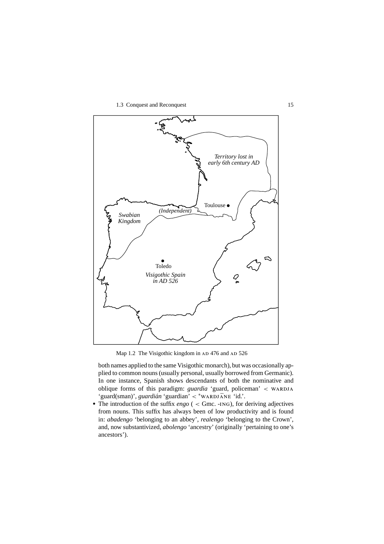

Map 1.2 The Visigothic kingdom in AD 476 and AD 526

both names applied to the same Visigothic monarch), but was occasionally applied to common nouns (usually personal, usually borrowed from Germanic). In one instance, Spanish shows descendants of both the nominative and oblique forms of this paradigm: *guardia* 'guard, policeman' < WARDJA 'guard(sman)', *guardián* 'guardian' < \*WARDJANE 'id.'.

 The introduction of the suffix *engo* ( *<* Gmc. -ing), for deriving adjectives from nouns. This suffix has always been of low productivity and is found in: *abadengo* 'belonging to an abbey', *realengo* 'belonging to the Crown', and, now substantivized, *abolengo* 'ancestry' (originally 'pertaining to one's ancestors').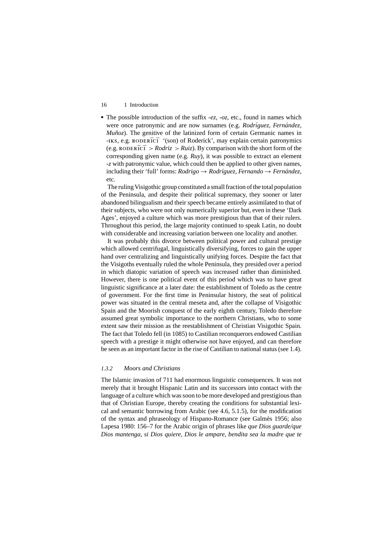The possible introduction of the suffix -*ez, -oz,* etc., found in names which were once patronymic and are now surnames (e.g. *Rodríguez, Fernández, Muñoz*). The genitive of the latinized form of certain Germanic names in -IKS, e.g. RODERĪCĪ '(son) of Roderick', may explain certain patronymics  $(e.g., \text{RODER} \bar{c} \bar{c} \bar{c} \text{ } > \text{Rodriz} > \text{Ruiz}).$  By comparison with the short form of the corresponding given name (e.g. *Ruy*), it was possible to extract an element -*z* with patronymic value, which could then be applied to other given names,  $i$ ncluding their 'full' forms:  $Rodrigo \rightarrow Rodriguez$ ,  $Fernando \rightarrow Fernández$ , etc.

The ruling Visigothic group constituted a small fraction of the total population of the Peninsula, and despite their political supremacy, they sooner or later abandoned bilingualism and their speech became entirely assimilated to that of their subjects, who were not only numerically superior but, even in these 'Dark Ages', enjoyed a culture which was more prestigious than that of their rulers. Throughout this period, the large majority continued to speak Latin, no doubt with considerable and increasing variation between one locality and another.

It was probably this divorce between political power and cultural prestige which allowed centrifugal, linguistically diversifying, forces to gain the upper hand over centralizing and linguistically unifying forces. Despite the fact that the Visigoths eventually ruled the whole Peninsula, they presided over a period in which diatopic variation of speech was increased rather than diminished. However, there is one political event of this period which was to have great linguistic significance at a later date: the establishment of Toledo as the centre of government. For the first time in Peninsular history, the seat of political power was situated in the central meseta and, after the collapse of Visigothic Spain and the Moorish conquest of the early eighth century, Toledo therefore assumed great symbolic importance to the northern Christians, who to some extent saw their mission as the reestablishment of Christian Visigothic Spain. The fact that Toledo fell (in 1085) to Castilian reconquerors endowed Castilian speech with a prestige it might otherwise not have enjoyed, and can therefore be seen as an important factor in the rise of Castilian to national status (see 1.4).

### *1.3.2 Moors and Christians*

The Islamic invasion of 711 had enormous linguistic consequences. It was not merely that it brought Hispanic Latin and its successors into contact with the language of a culture which was soon to be more developed and prestigious than that of Christian Europe, thereby creating the conditions for substantial lexicaland semantic borrowing from Arabic (see 4.6, 5.1.5), for the modification of the syntax and phraseology of Hispano-Romance (see Galmés 1956; also Lapesa 1980: 156–7 for the Arabic origin of phrases like *que Dios guarde/que Dios mantenga, si Dios quiere, Dios le ampare, bendita sea la madre que te*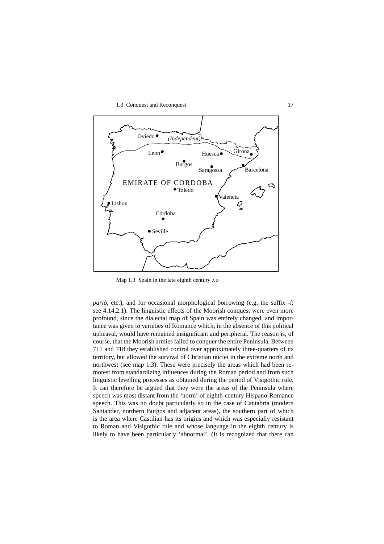

Map 1.3 Spain in the late eighth century AD

*parió*, etc.), and for occasional morphological borrowing (e.g. the suffix -*í*; see 4.14.2.1). The linguistic effects of the Moorish conquest were even more profound, since the dialectal map of Spain was entirely changed, and importance was given to varieties of Romance which, in the absence of this political upheaval, would have remained insignificant and peripheral. The reason is, of course, that the Moorish armies failed to conquer the entire Peninsula. Between 711 and 718 they established control over approximately three-quarters of its territory, but allowed the survival of Christian nuclei in the extreme north and northwest (see map 1.3). These were precisely the areas which had been remotest from standardizing influences during the Roman period and from such linguistic levelling processes as obtained during the period of Visigothic rule. It can therefore be argued that they were the areas of the Peninsula where speech was most distant from the 'norm' of eighth-century Hispano-Romance speech. This was no doubt particularly so in the case of Cantabria (modern Santander, northern Burgos and adjacent areas), the southern part of which is the area where Castilian has its origins and which was especially resistant to Roman and Visigothic rule and whose language in the eighth century is likely to have been particularly 'abnormal'. (It is recognized that there can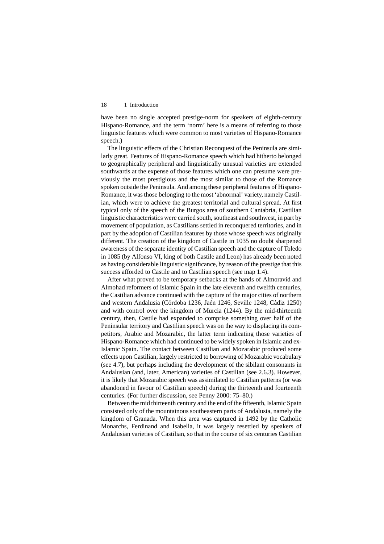have been no single accepted prestige-norm for speakers of eighth-century Hispano-Romance, and the term 'norm' here is a means of referring to those linguistic features which were common to most varieties of Hispano-Romance speech.)

The linguistic effects of the Christian Reconquest of the Peninsula are similarly great. Features of Hispano-Romance speech which had hitherto belonged to geographically peripheral and linguistically unusual varieties are extended southwards at the expense of those features which one can presume were previously the most prestigious and the most similar to those of the Romance spoken outside the Peninsula. And among these peripheral features of Hispano-Romance, it was those belonging to the most 'abnormal' variety, namely Castilian, which were to achieve the greatest territorial and cultural spread. At first typical only of the speech of the Burgos area of southern Cantabria, Castilian linguistic characteristics were carried south, southeast and southwest, in part by movement of population, as Castilians settled in reconquered territories, and in part by the adoption of Castilian features by those whose speech was originally different. The creation of the kingdom of Castile in 1035 no doubt sharpened awareness of the separate identity of Castilian speech and the capture of Toledo in 1085 (by Alfonso VI, king of both Castile and Leon) has already been noted as having considerable linguistic significance, by reason of the prestige that this success afforded to Castile and to Castilian speech (see map 1.4).

After what proved to be temporary setbacks at the hands of Almoravid and Almohad reformers of Islamic Spain in the late eleventh and twelfth centuries, the Castilian advance continued with the capture of the major cities of northern and western Andalusia (Córdoba 1236, Jaén 1246, Seville 1248, Cádiz 1250) and with control over the kingdom of Murcia (1244). By the mid-thirteenth century, then, Castile had expanded to comprise something over half of the Peninsular territory and Castilian speech was on the way to displacing its competitors, Arabic and Mozarabic, the latter term indicating those varieties of Hispano-Romance which had continued to be widely spoken in Islamic and ex-Islamic Spain. The contact between Castilian and Mozarabic produced some effects upon Castilian, largely restricted to borrowing of Mozarabic vocabulary (see 4.7), but perhaps including the development of the sibilant consonants in Andalusian (and, later, American) varieties of Castilian (see 2.6.3). However, it is likely that Mozarabic speech was assimilated to Castilian patterns (or was abandoned in favour of Castilian speech) during the thirteenth and fourteenth centuries. (For further discussion, see Penny 2000: 75–80.)

Between the mid thirteenth century and the end of the fifteenth, Islamic Spain consisted only of the mountainous southeastern parts of Andalusia, namely the kingdom of Granada. When this area was captured in 1492 by the Catholic Monarchs, Ferdinand and Isabella, it was largely resettled by speakers of Andalusian varieties of Castilian, so that in the course of six centuries Castilian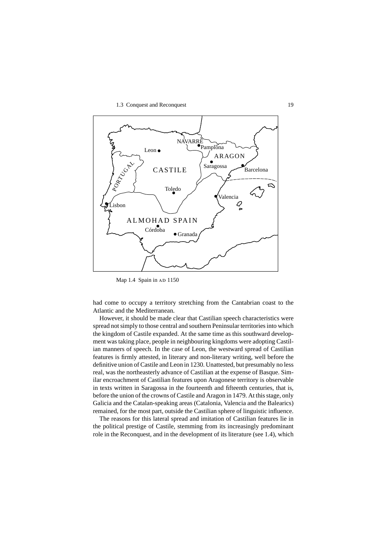

Map 1.4 Spain in AD 1150

had come to occupy a territory stretching from the Cantabrian coast to the Atlantic and the Mediterranean.

However, it should be made clear that Castilian speech characteristics were spread not simply to those central and southern Peninsular territories into which the kingdom of Castile expanded. At the same time as this southward development was taking place, people in neighbouring kingdoms were adopting Castilian manners of speech. In the case of Leon, the westward spread of Castilian features is firmly attested, in literary and non-literary writing, well before the definitive union of Castile and Leon in 1230. Unattested, but presumably no less real, was the northeasterly advance of Castilian at the expense of Basque. Similar encroachment of Castilian features upon Aragonese territory is observable in texts written in Saragossa in the fourteenth and fifteenth centuries, that is, before the union of the crowns of Castile and Aragon in 1479. At this stage, only Galicia and the Catalan-speaking areas (Catalonia, Valencia and the Balearics) remained, for the most part, outside the Castilian sphere of linguistic influence.

The reasons for this lateral spread and imitation of Castilian features lie in the political prestige of Castile, stemming from its increasingly predominant role in the Reconquest, and in the development of its literature (see 1.4), which